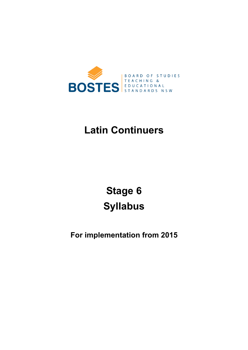

# **Latin Continuers**

**[Stage 6](#page-5-0) Syllabus** 

**For implementation from 2015**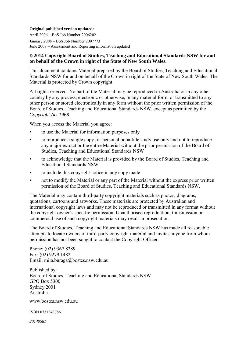#### **Original published version updated:**

 April 2006 – BoS Job Number 2006202 January 2008 – BoS Job Number 2007773  $\overline{\phantom{a}}$ June 2009 – Assessment and Reporting information updated

#### © **2014 Copyright Board of Studies, Teaching and Educational Standards NSW for and on behalf of the Crown in right of the State of New South Wales.**

This document contains Material prepared by the Board of Studies, Teaching and Educational Standards NSW for and on behalf of the Crown in right of the State of New South Wales. The Material is protected by Crown copyright.

 $\overline{a}$ All rights reserved. No part of the Material may be reproduced in Australia or in any other country by any process, electronic or otherwise, in any material form, or transmitted to any other person or stored electronically in any form without the prior written permission of the Board of Studies, Teaching and Educational Standards NSW, except as permitted by the *Copyright Act 1968.* 

When you access the Material you agree:

- to use the Material for information purposes only
- to reproduce a single copy for personal bona fide study use only and not to reproduce any major extract or the entire Material without the prior permission of the Board of Studies, Teaching and Educational Standards NSW
- to acknowledge that the Material is provided by the Board of Studies, Teaching and Educational Standards NSW
- • to include this copyright notice in any copy made
- not to modify the Material or any part of the Material without the express prior written permission of the Board of Studies, Teaching and Educational Standards NSW.

The Material may contain third-party copyright materials such as photos, diagrams, quotations, cartoons and artworks. These materials are protected by Australian and international copyright laws and may not be reproduced or transmitted in any format without the copyright owner's specific permission. Unauthorised reproduction, transmission or commercial use of such copyright materials may result in prosecution.

The Board of Studies, Teaching and Educational Standards NSW has made all reasonable attempts to locate owners of third-party copyright material and invites anyone from whom permission has not been sought to contact the Copyright Officer.

 $\overline{\phantom{a}}$ Phone: (02) 9367 8289 Fax: (02) 9279 1482 Email: mila.buraga@bostes.nsw.edu.au

Published by: Board of Studies, Teaching and Educational Standards NSW GPO Box 5300 Sydney 2001 Australia

www.bostes.nsw.edu.au

ISBN 0731343786

*20140581*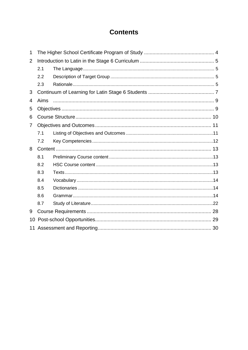# **Contents**

| $\mathbf{1}$   |      |  |  |
|----------------|------|--|--|
| $\overline{2}$ |      |  |  |
|                | 2.1  |  |  |
|                | 2.2  |  |  |
|                | 2.3  |  |  |
| 3              |      |  |  |
| 4              | Aims |  |  |
| 5              |      |  |  |
| 6              |      |  |  |
| 7              |      |  |  |
|                | 7.1  |  |  |
|                | 7.2  |  |  |
| 8              |      |  |  |
|                | 8.1  |  |  |
|                | 8.2  |  |  |
|                | 8.3  |  |  |
|                | 8.4  |  |  |
|                | 8.5  |  |  |
|                | 8.6  |  |  |
|                | 8.7  |  |  |
| 9              |      |  |  |
| 10             |      |  |  |
|                |      |  |  |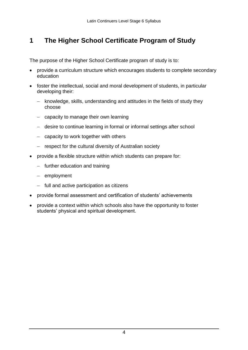#### <span id="page-3-0"></span>**1 The Higher School Certificate Program of Study**

The purpose of the Higher School Certificate program of study is to:

- provide a curriculum structure which encourages students to complete secondary education
- foster the intellectual, social and moral development of students, in particular developing their:
	- knowledge, skills, understanding and attitudes in the fields of study they choose
	- capacity to manage their own learning
	- desire to continue learning in formal or informal settings after school
	- $-$  capacity to work together with others
	- respect for the cultural diversity of Australian society
- $\bullet$  provide a flexible structure within which students can prepare for:
	- $-$  further education and training
	- $-$  employment
	- $-$  full and active participation as citizens
- provide formal assessment and certification of students' achievements
- provide a context within which schools also have the opportunity to foster students' physical and spiritual development.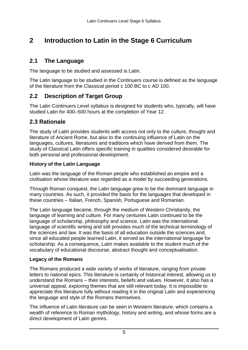# <span id="page-4-0"></span>**2 Introduction to Latin in the Stage 6 Curriculum**

### **2.1 The Language**

The language to be studied and assessed is Latin.

The Latin language to be studied in the Continuers course is defined as the language of the literature from the Classical period c 100 BC to c AD 100.

### **2.2 Description of Target Group**

The Latin Continuers Level syllabus is designed for students who, typically, will have studied Latin for 400–500 hours at the completion of Year 12.

### **2.3 Rationale**

 literature of Ancient Rome, but also to the continuing influence of Latin on the The study of Latin provides students with access not only to the culture, thought and languages, cultures, literatures and traditions which have derived from them. The study of Classical Latin offers specific training in qualities considered desirable for both personal and professional development.

#### **History of the Latin Language**

 Latin was the language of the Roman people who established an empire and a civilisation whose literature was regarded as a model by succeeding generations.

Through Roman conquest, the Latin language grew to be the dominant language in many countries. As such, it provided the basis for the languages that developed in these countries – Italian, French, Spanish, Portuguese and Romanian.

 The Latin language became, through the medium of Western Christianity, the language of learning and culture. For many centuries Latin continued to be the language of scholarship, philosophy and science. Latin was the international language of scientific writing and still provides much of the technical terminology of the sciences and law. It was the basis of all education outside the sciences and, since all educated people learned Latin, it served as the international language for scholarship. As a consequence, Latin makes available to the student much of the vocabulary of educational discourse, abstract thought and conceptualisation.

### **Legacy of the Romans**

The Romans produced a wide variety of works of literature, ranging from private letters to national epics. This literature is certainly of historical interest, allowing us to understand the Romans – their interests, beliefs and values. However, it also has a universal appeal, exploring themes that are still relevant today. It is impossible to appreciate this literature fully without reading it in the original Latin and experiencing the language and style of the Romans themselves.

 The influence of Latin literature can be seen in Western literature, which contains a wealth of reference to Roman mythology, history and writing, and whose forms are a direct development of Latin genres.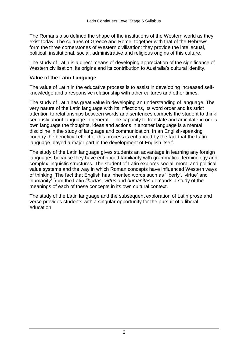<span id="page-5-0"></span> The Romans also defined the shape of the institutions of the Western world as they exist today. The cultures of Greece and Rome, together with that of the Hebrews, form the three cornerstones of Western civilisation: they provide the intellectual, political, institutional, social, administrative and religious origins of this culture.

 The study of Latin is a direct means of developing appreciation of the significance of Western civilisation, its origins and its contribution to Australia's cultural identity.

#### **Value of the Latin Language**

The value of Latin in the educative process is to assist in developing increased selfknowledge and a responsive relationship with other cultures and other times.

 seriously about language in general. The capacity to translate and articulate in one's country the beneficial effect of this process is enhanced by the fact that the Latin The study of Latin has great value in developing an understanding of language. The very nature of the Latin language with its inflections, its word order and its strict attention to relationships between words and sentences compels the student to think own language the thoughts, ideas and actions in another language is a mental discipline in the study of language and communication. In an English-speaking language played a major part in the development of English itself.

 languages because they have enhanced familiarity with grammatical terminology and complex linguistic structures. The student of Latin explores social, moral and political 'humanity' from the Latin *libertas*, *virtus* and *humanitas* demands a study of the The study of the Latin language gives students an advantage in learning any foreign value systems and the way in which Roman concepts have influenced Western ways of thinking. The fact that English has inherited words such as 'liberty', 'virtue' and meanings of each of these concepts in its own cultural context.

The study of the Latin language and the subsequent exploration of Latin prose and verse provides students with a singular opportunity for the pursuit of a liberal education.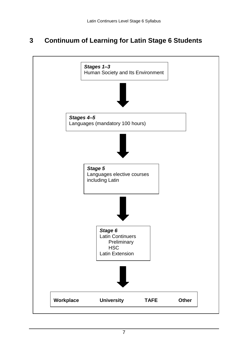#### <span id="page-6-0"></span>**3 Continuum of Learning for Latin Stage 6 Students**

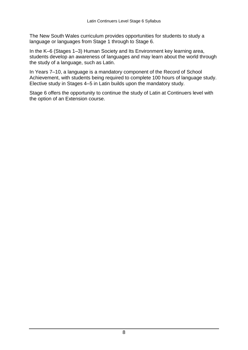language or languages from Stage 1 through to Stage 6. The New South Wales curriculum provides opportunities for students to study a

In the K–6 (Stages 1–3) Human Society and Its Environment key learning area, students develop an awareness of languages and may learn about the world through the study of a language, such as Latin.

In Years 7–10, a language is a mandatory component of the Record of School Achievement, with students being required to complete 100 hours of language study. Elective study in Stages 4–5 in Latin builds upon the mandatory study.

Stage 6 offers the opportunity to continue the study of Latin at Continuers level with the option of an Extension course.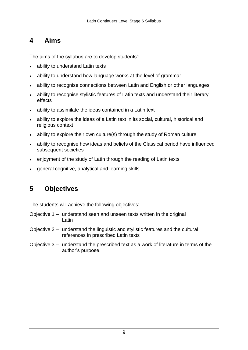#### <span id="page-8-0"></span> **4 Aims**

The aims of the syllabus are to develop students':

- ability to understand Latin texts
- ability to understand how language works at the level of grammar
- ability to recognise connections between Latin and English or other languages
- ability to recognise stylistic features of Latin texts and understand their literary effects
- ability to assimilate the ideas contained in a Latin text
- ability to explore the ideas of a Latin text in its social, cultural, historical and religious context
- ability to explore their own culture(s) through the study of Roman culture
- ability to recognise how ideas and beliefs of the Classical period have influenced subsequent societies
- enjoyment of the study of Latin through the reading of Latin texts
- general cognitive, analytical and learning skills.

## **5 Objectives**

The students will achieve the following objectives:

- Objective 1 understand seen and unseen texts written in the original Latin
- Objective 2 understand the linguistic and stylistic features and the cultural references in prescribed Latin texts
- Objective 3 understand the prescribed text as a work of literature in terms of the author's purpose.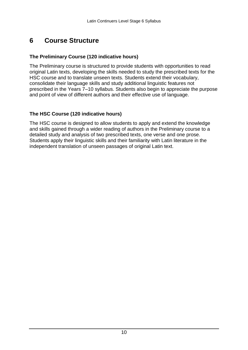#### <span id="page-9-0"></span>**6 Course Structure**

#### **The Preliminary Course (120 indicative hours)**

 original Latin texts, developing the skills needed to study the prescribed texts for the HSC course and to translate unseen texts. Students extend their vocabulary, prescribed in the Years 7–10 syllabus. Students also begin to appreciate the purpose The Preliminary course is structured to provide students with opportunities to read consolidate their language skills and study additional linguistic features not and point of view of different authors and their effective use of language.

#### **The HSC Course (120 indicative hours)**

 Students apply their linguistic skills and their familiarity with Latin literature in the The HSC course is designed to allow students to apply and extend the knowledge and skills gained through a wider reading of authors in the Preliminary course to a detailed study and analysis of two prescribed texts, one verse and one prose. independent translation of unseen passages of original Latin text.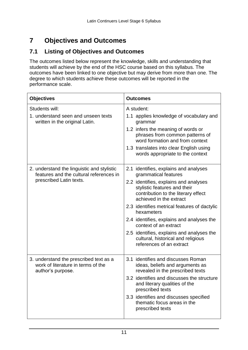# **7 Objectives and Outcomes**

#### **7.1 Listing of Objectives and Outcomes**

 The outcomes listed below represent the knowledge, skills and understanding that outcomes have been linked to one objective but may derive from more than one. The students will achieve by the end of the HSC course based on this syllabus. The degree to which students achieve these outcomes will be reported in the performance scale.

| <b>Objectives</b>                                                                                                | <b>Outcomes</b>                                                                                                                                                                                                                                                                                                                                                                                                                                             |  |
|------------------------------------------------------------------------------------------------------------------|-------------------------------------------------------------------------------------------------------------------------------------------------------------------------------------------------------------------------------------------------------------------------------------------------------------------------------------------------------------------------------------------------------------------------------------------------------------|--|
| Students will:<br>1. understand seen and unseen texts<br>written in the original Latin.                          | A student:<br>1.1 applies knowledge of vocabulary and<br>grammar<br>1.2 infers the meaning of words or<br>phrases from common patterns of<br>word formation and from context<br>1.3 translates into clear English using<br>words appropriate to the context                                                                                                                                                                                                 |  |
| 2. understand the linguistic and stylistic<br>features and the cultural references in<br>prescribed Latin texts. | 2.1 identifies, explains and analyses<br>grammatical features<br>2.2 identifies, explains and analyses<br>stylistic features and their<br>contribution to the literary effect<br>achieved in the extract<br>2.3 identifies metrical features of dactylic<br>hexameters<br>2.4 identifies, explains and analyses the<br>context of an extract<br>2.5 identifies, explains and analyses the<br>cultural, historical and religious<br>references of an extract |  |
| 3. understand the prescribed text as a<br>work of literature in terms of the<br>author's purpose.                | 3.1 identifies and discusses Roman<br>ideas, beliefs and arguments as<br>revealed in the prescribed texts<br>3.2 identifies and discusses the structure<br>and literary qualities of the<br>prescribed texts<br>3.3 identifies and discusses specified<br>thematic focus areas in the<br>prescribed texts                                                                                                                                                   |  |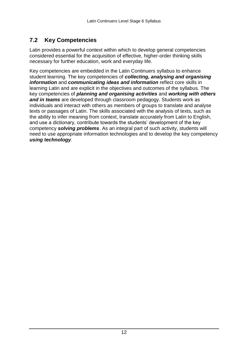#### <span id="page-11-0"></span> $7.2$ **7.2 Key Competencies**

 Latin provides a powerful context within which to develop general competencies considered essential for the acquisition of effective, higher-order thinking skills necessary for further education, work and everyday life.

 Key competencies are embedded in the Latin Continuers syllabus to enhance *information* and *communicating ideas and information* reflect core skills in key competencies of *planning and organising activities* and *working with others*  and use a dictionary, contribute towards the students' development of the key student learning. The key competencies of *collecting, analysing and organising*  learning Latin and are explicit in the objectives and outcomes of the syllabus. The *and in teams* are developed through classroom pedagogy. Students work as individuals and interact with others as members of groups to translate and analyse texts or passages of Latin. The skills associated with the analysis of texts, such as the ability to infer meaning from context, translate accurately from Latin to English, competency *solving problems*. As an integral part of such activity, students will need to use appropriate information technologies and to develop the key competency *using technology*.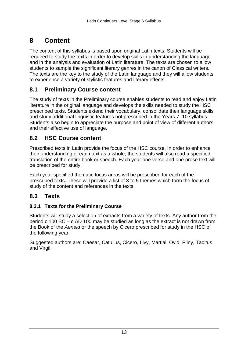# <span id="page-12-0"></span>**8 Content**

 required to study the texts in order to develop skills in understanding the language and in the analysis and evaluation of Latin literature. The texts are chosen to allow The content of this syllabus is based upon original Latin texts. Students will be students to sample the significant literary genres in the canon of Classical writers. The texts are the key to the study of the Latin language and they will allow students to experience a variety of stylistic features and literary effects.

### **8.1 Preliminary Course content**

The study of texts in the Preliminary course enables students to read and enjoy Latin literature in the original language and develops the skills needed to study the HSC prescribed texts. Students extend their vocabulary, consolidate their language skills and study additional linguistic features not prescribed in the Years 7–10 syllabus. Students also begin to appreciate the purpose and point of view of different authors and their effective use of language.

#### **8.2 HSC Course content**

 be prescribed for study. Prescribed texts in Latin provide the focus of the HSC course. In order to enhance their understanding of each text as a whole, the students will also read a specified translation of the entire book or speech. Each year one verse and one prose text will

 Each year specified thematic focus areas will be prescribed for each of the prescribed texts. These will provide a list of 3 to 5 themes which form the focus of study of the content and references in the texts.

#### $8.3$ **8.3 Texts**

### **8.3.1 Texts for the Preliminary Course**

 period c 100 BC – c AD 100 may be studied as long as the extract is not drawn from the Book of the *Aeneid* or the speech by Cicero prescribed for study in the HSC of the following year. Students will study a selection of extracts from a variety of texts. Any author from the

Suggested authors are: Caesar, Catullus, Cicero, Livy, Martial, Ovid, Pliny, Tacitus and Virgil.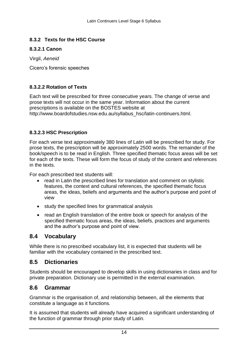#### <span id="page-13-0"></span>**8.3.2 Texts for the HSC Course**

#### **8.3.2.1 Canon**

Virgil, *Aeneid* 

Cicero's forensic speeches

#### **8.3.2.2 Rotation of Texts**

 http://www.boardofstudies.nsw.edu.au/syllabus\_hsc/latin-continuers.html. Each text will be prescribed for three consecutive years. The change of verse and prose texts will not occur in the same year. Information about the current prescriptions is available on the BOSTES website at

#### **8.3.2.3 HSC Prescription**

 For each verse text approximately 380 lines of Latin will be prescribed for study. For prose texts, the prescription will be approximately 2500 words. The remainder of the book/speech is to be read in English. Three specified thematic focus areas will be set for each of the texts. These will form the focus of study of the content and references in the texts.

For each prescribed text students will:

- read in Latin the prescribed lines for translation and comment on stylistic features, the context and cultural references, the specified thematic focus areas, the ideas, beliefs and arguments and the author's purpose and point of view
- study the specified lines for grammatical analysis
- read an English translation of the entire book or speech for analysis of the specified thematic focus areas, the ideas, beliefs, practices and arguments and the author's purpose and point of view.

### **8.4 Vocabulary**

 familiar with the vocabulary contained in the prescribed text. While there is no prescribed vocabulary list, it is expected that students will be

### **8.5 Dictionaries**

 private preparation. Dictionary use is permitted in the external examination. Students should be encouraged to develop skills in using dictionaries in class and for

### **8.6 Grammar**

 constitute a language as it functions. Grammar is the organisation of, and relationship between, all the elements that

 the function of grammar through prior study of Latin. It is assumed that students will already have acquired a significant understanding of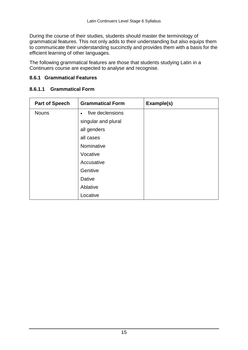grammatical features. This not only adds to their understanding but also equips them During the course of their studies, students should master the terminology of to communicate their understanding succinctly and provides them with a basis for the efficient learning of other languages.

 The following grammatical features are those that students studying Latin in a Continuers course are expected to analyse and recognise.

#### **8.6.1 Grammatical Features**

#### **8.6.1.1 Grammatical Form**

| <b>Part of Speech</b> | <b>Grammatical Form</b>       | Example(s) |
|-----------------------|-------------------------------|------------|
| <b>Nouns</b>          | five declensions<br>$\bullet$ |            |
|                       | singular and plural           |            |
|                       | all genders                   |            |
|                       | all cases                     |            |
|                       | Nominative                    |            |
|                       | Vocative                      |            |
|                       | Accusative                    |            |
|                       | Genitive                      |            |
|                       | <b>Dative</b>                 |            |
|                       | Ablative                      |            |
|                       | Locative                      |            |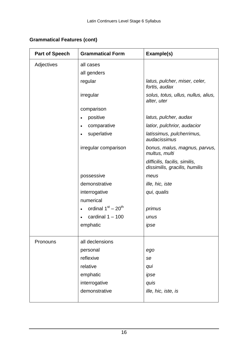### **Grammatical Features (cont)**

| <b>Part of Speech</b> | <b>Grammatical Form</b>           | Example(s)                                                     |
|-----------------------|-----------------------------------|----------------------------------------------------------------|
| Adjectives            | all cases                         |                                                                |
|                       | all genders                       |                                                                |
|                       | regular                           | latus, pulcher, miser, celer,<br>fortis, audax                 |
|                       | irregular                         | solus, totus, ullus, nullus, alius,<br>alter, uter             |
|                       | comparison                        |                                                                |
|                       | positive<br>$\bullet$             | latus, pulcher, audax                                          |
|                       | comparative<br>$\bullet$          | latior, pulchrior, audacior                                    |
|                       | superlative<br>$\bullet$          | latissimus, pulcherrimus,<br>audacissimus                      |
|                       | irregular comparison              | bonus, malus, magnus, parvus,<br>multus, multi                 |
|                       |                                   | difficilis, facilis, similis,<br>dissimilis, gracilis, humilis |
|                       | possessive                        | meus                                                           |
|                       | demonstrative                     | ille, hic, iste                                                |
|                       | interrogative                     | qui, qualis                                                    |
|                       | numerical                         |                                                                |
|                       | ordinal $1st - 20th$<br>$\bullet$ | primus                                                         |
|                       | cardinal $1 - 100$                | unus                                                           |
|                       | emphatic                          | ipse                                                           |
| Pronouns              | all declensions                   |                                                                |
|                       | personal                          | ego                                                            |
|                       | reflexive                         | se                                                             |
|                       | relative                          | qui                                                            |
|                       | emphatic                          | ipse                                                           |
|                       | interrogative                     | quis                                                           |
|                       | demonstrative                     | ille, hic, iste, is                                            |
|                       |                                   |                                                                |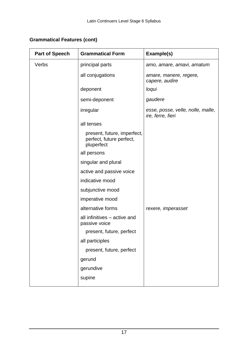| <b>Grammatical Features (cont)</b> |  |  |
|------------------------------------|--|--|
|------------------------------------|--|--|

| <b>Part of Speech</b> | <b>Grammatical Form</b>                                               | Example(s)                                             |
|-----------------------|-----------------------------------------------------------------------|--------------------------------------------------------|
| Verbs                 | principal parts                                                       | amo, amare, amavi, amatum                              |
|                       | all conjugations                                                      | amare, manere, regere,<br>capere, audire               |
|                       | deponent                                                              | loqui                                                  |
|                       | semi-deponent                                                         | gaudere                                                |
|                       | irregular                                                             | esse, posse, velle, nolle, malle,<br>ire, ferre, fieri |
|                       | all tenses                                                            |                                                        |
|                       | present, future, imperfect,<br>perfect, future perfect,<br>pluperfect |                                                        |
|                       | all persons                                                           |                                                        |
|                       | singular and plural                                                   |                                                        |
|                       | active and passive voice                                              |                                                        |
|                       | indicative mood                                                       |                                                        |
|                       | subjunctive mood                                                      |                                                        |
|                       | imperative mood                                                       |                                                        |
|                       | alternative forms                                                     | rexere, imperasset                                     |
|                       | all infinitives - active and<br>passive voice                         |                                                        |
|                       | present, future, perfect                                              |                                                        |
|                       | all participles                                                       |                                                        |
|                       | present, future, perfect                                              |                                                        |
|                       | gerund                                                                |                                                        |
|                       | gerundive                                                             |                                                        |
|                       | supine                                                                |                                                        |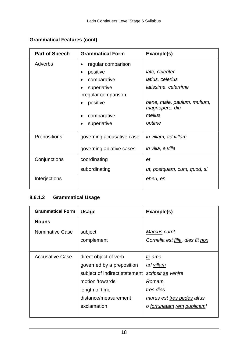| <b>Part of Speech</b> | <b>Grammatical Form</b>   | Example(s)                                    |
|-----------------------|---------------------------|-----------------------------------------------|
| Adverbs               | regular comparison        |                                               |
|                       | positive                  | late, celeriter                               |
|                       | comparative               | latius, celerius                              |
|                       | superlative               | latissime, celerrime                          |
|                       | irregular comparison      |                                               |
|                       | positive                  | bene, male, paulum, multum,<br>magnopere, diu |
|                       | comparative               | melius                                        |
|                       | superlative               | optime                                        |
| <b>Prepositions</b>   | governing accusative case | in villam, ad villam                          |
|                       | governing ablative cases  | <u>in</u> villa, <u>e</u> villa               |
| Conjunctions          | coordinating              | et                                            |
|                       | subordinating             | ut, postquam, cum, quod, si                   |
| Interjections         |                           | eheu, en                                      |

### **Grammatical Features (cont)**

### **8.6.1.2 Grammatical Usage**

| <b>Grammatical Form</b> | <b>Usage</b>                  | Example(s)                       |
|-------------------------|-------------------------------|----------------------------------|
| <b>Nouns</b>            |                               |                                  |
| Nominative Case         | subject                       | Marcus currit                    |
|                         | complement                    | Cornelia est filia, dies fit nox |
|                         |                               |                                  |
| <b>Accusative Case</b>  | direct object of verb         | te amo                           |
|                         | governed by a preposition     | ad villam                        |
|                         | subject of indirect statement | scripsit se venire               |
|                         | motion 'towards'              | Romam                            |
|                         | length of time                | tres dies                        |
|                         | distance/measurement          | murus est tres pedes altus       |
|                         | exclamation                   | o fortunatam rem publicam!       |
|                         |                               |                                  |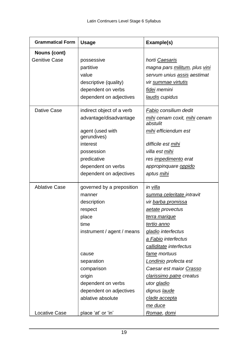| <b>Grammatical Form</b> | <b>Usage</b>                    | Example(s)                               |
|-------------------------|---------------------------------|------------------------------------------|
| <b>Nouns (cont)</b>     |                                 |                                          |
| <b>Genitive Case</b>    | possessive                      | horti Caesaris                           |
|                         | partitive                       | magna pars militum, plus vini            |
|                         | value                           | servum unius assis aestimat              |
|                         | descriptive (quality)           | vir summae virtutis                      |
|                         | dependent on verbs              | fidei memini                             |
|                         | dependent on adjectives         | laudis cupidus                           |
| Dative Case             | indirect object of a verb       | Fabio consilium dedit                    |
|                         | advantage/disadvantage          | mihi cenam coxit, mihi cenam<br>abstulit |
|                         | agent (used with<br>gerundives) | mihi efficiendum est                     |
|                         | interest                        | difficile est mihi                       |
|                         | possession                      | villa est <u>mihi</u>                    |
|                         | predicative                     | res <i>impedimento</i> erat              |
|                         | dependent on verbs              | appropinquare oppido                     |
|                         | dependent on adjectives         | aptus <u>mihi</u>                        |
| <b>Ablative Case</b>    | governed by a preposition       | in <u>villa</u>                          |
|                         | manner                          | summa celeritate intravit                |
|                         | description                     | vir barba promissa                       |
|                         | respect                         | aetate provectus                         |
|                         | place                           | terra marique                            |
|                         | time                            | tertio anno                              |
|                         | instrument / agent / means      | gladio interfectus                       |
|                         |                                 | a Fabio interfectus                      |
|                         |                                 | calliditate interfectus                  |
|                         | cause                           | fame mortuus                             |
|                         | separation                      | Londinio profecta est                    |
|                         | comparison                      | Caesar est maior Crasso                  |
|                         | origin                          | clarissimo patre creatus                 |
|                         | dependent on verbs              | utor gladio                              |
|                         | dependent on adjectives         | dignus laude                             |
|                         | ablative absolute               | clade accepta                            |
|                         |                                 | me duce                                  |
| <b>Locative Case</b>    | place 'at' or 'in'              | <u>Romae, domi</u>                       |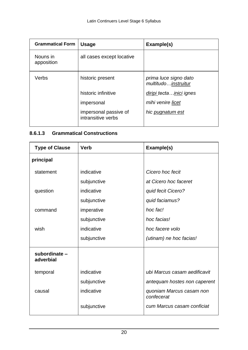| <b>Grammatical Form</b> | <b>Usage</b>                                | Example(s)                                   |
|-------------------------|---------------------------------------------|----------------------------------------------|
| Nouns in<br>apposition  | all cases except locative                   |                                              |
| Verbs                   | historic present                            | prima luce signo dato<br>multitudoinstruitur |
|                         | historic infinitive                         | diripi tecta  inici ignes                    |
|                         | impersonal                                  | mihi venire licet                            |
|                         | impersonal passive of<br>intransitive verbs | hic pugnatum est                             |

### **8.6.1.3 Grammatical Constructions**

| <b>Type of Clause</b>      | <b>Verb</b> | Example(s)                             |
|----------------------------|-------------|----------------------------------------|
| principal                  |             |                                        |
| statement                  | indicative  | Cicero hoc fecit                       |
|                            | subjunctive | at Cicero hoc faceret                  |
| question                   | indicative  | quid fecit Cicero?                     |
|                            | subjunctive | quid faciamus?                         |
| command                    | imperative  | hoc fac!                               |
|                            | subjunctive | hoc facias!                            |
| wish                       | indicative  | hoc facere volo                        |
|                            | subjunctive | (utinam) ne hoc facias!                |
| subordinate -<br>adverbial |             |                                        |
| temporal                   | indicative  | ubi Marcus casam aedificavit           |
|                            | subjunctive | antequam hostes non caperent           |
| causal                     | indicative  | quoniam Marcus casam non<br>confecerat |
|                            | subjunctive | cum Marcus casam conficiat             |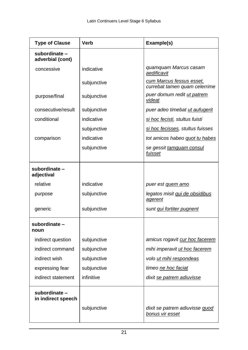| <b>Type of Clause</b>               | <b>Verb</b> | Example(s)                                                |
|-------------------------------------|-------------|-----------------------------------------------------------|
| subordinate -<br>adverbial (cont)   |             |                                                           |
| concessive                          | indicative  | quamquam Marcus casam<br>aedificavit                      |
|                                     | subjunctive | cum Marcus fessus esset,<br>currebat tamen quam celerrime |
| purpose/final                       | subjunctive | puer domum redit ut patrem<br>videat                      |
| consecutive/result                  | subjunctive | puer adeo timebat ut aufugerit                            |
| conditional                         | indicative  | si hoc fecisti, stultus fuisti                            |
|                                     | subjunctive | si hoc fecisses, stultus fuisses                          |
| comparison                          | indicative  | tot amicos habeo quot tu habes                            |
|                                     | subjunctive | se gessit tamquam consul<br>fuisset                       |
| subordinate -<br>adjectival         |             |                                                           |
| relative                            | indicative  | puer est quem amo                                         |
| purpose                             | subjunctive | legatos misit qui de obsidibus<br>agerent                 |
| generic                             | subjunctive | sunt qui fortiter pugnent                                 |
| subordinate-<br>noun                |             |                                                           |
| indirect question                   | subjunctive | amicus rogavit cur hoc facerem                            |
| indirect command                    | subjunctive | mihi imperavit ut hoc facerem                             |
| indirect wish                       | subjunctive | volo ut mihi respondeas                                   |
| expressing fear                     | subjunctive | timeo ne hoc faciat                                       |
| indirect statement                  | infinitive  | dixit se patrem adiuvisse                                 |
| subordinate -<br>in indirect speech | subjunctive | dixit se patrem adiuvisse quod<br>bonus vir esset         |
|                                     |             |                                                           |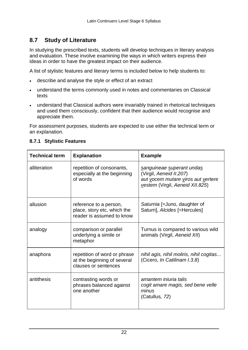### **8.7 Study of Literature**

In studying the prescribed texts, students will develop techniques in literary analysis and evaluation. These involve examining the ways in which writers express their ideas in order to have the greatest impact on their audience.

A list of stylistic features and literary terms is included below to help students to:

- describe and analyse the style or effect of an extract
- understand the terms commonly used in notes and commentaries on Classical texts
- understand that Classical authors were invariably trained in rhetorical techniques and used them consciously, confident that their audience would recognise and appreciate them.

For assessment purposes, students are expected to use either the technical term or an explanation.

| <b>Technical term</b> | <b>Explanation</b>                                                                  | <b>Example</b>                                                                                                                |
|-----------------------|-------------------------------------------------------------------------------------|-------------------------------------------------------------------------------------------------------------------------------|
| alliteration          | repetition of consonants,<br>especially at the beginning<br>of words                | sanguineae superant undas<br>(Virgil, Aeneid II.207)<br>aut vocem mutare viros aut vertere<br>vestem (Virgil, Aeneid XII.825) |
| allusion              | reference to a person,<br>place, story etc, which the<br>reader is assumed to know  | Saturnia [=Juno, daughter of<br>Saturn], Alcides [=Hercules]                                                                  |
| analogy               | comparison or parallel<br>underlying a simile or<br>metaphor                        | Turnus is compared to various wild<br>animals (Virgil, Aeneid XII)                                                            |
| anaphora              | repetition of word or phrase<br>at the beginning of several<br>clauses or sentences | nihil agis, nihil moliris, nihil cogitas<br>(Cicero, In Catilinam I.3.8)                                                      |
| antithesis            | contrasting words or<br>phrases balanced against<br>one another                     | amantem iniuria talis<br>cogit amare magis, sed bene velle<br>minus<br>(Catullus, 72)                                         |

#### **8.7.1 Stylistic Features**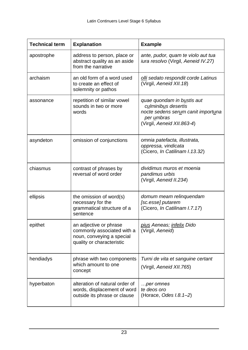| <b>Technical term</b> | <b>Explanation</b>                                                                                             | <b>Example</b>                                                                                                                      |
|-----------------------|----------------------------------------------------------------------------------------------------------------|-------------------------------------------------------------------------------------------------------------------------------------|
| apostrophe            | address to person, place or<br>abstract quality as an aside<br>from the narrative                              | ante, pudor, quam te violo aut tua<br>iura resolvo (Virgil, Aeneid IV.27)                                                           |
| archaism              | an old form of a word used<br>to create an effect of<br>solemnity or pathos                                    | olli sedato respondit corde Latinus<br>(Virgil, Aeneid XII.18)                                                                      |
| assonance             | repetition of similar vowel<br>sounds in two or more<br>words                                                  | quae quondam in bustis aut<br>culminibus desertis<br>nocte sedens serum canit importuna<br>per umbras<br>(Virgil, Aeneid XII.863-4) |
| asyndeton             | omission of conjunctions                                                                                       | omnia patefacta, illustrata,<br>oppressa, vindicata<br>(Cicero, In Catilinam I.13.32)                                               |
| chiasmus              | contrast of phrases by<br>reversal of word order                                                               | dividimus muros et moenia<br>pandimus urbis<br>(Virgil, Aeneid II.234)                                                              |
| ellipsis              | the omission of word(s)<br>necessary for the<br>grammatical structure of a<br>sentence                         | domum meam relinquendam<br>[sc.esse] putarem<br>(Cicero, In Catilinam I.7.17)                                                       |
| epithet               | an adjective or phrase<br>commonly associated with a<br>noun, conveying a special<br>quality or characteristic | pius Aeneas; infelix Dido<br>(Virgil, Aeneid)                                                                                       |
| hendiadys             | phrase with two components<br>which amount to one<br>concept                                                   | Turni de vita et sanguine certant<br>(Virgil, Aeneid XII.765)                                                                       |
| hyperbaton            | alteration of natural order of<br>words, displacement of word<br>outside its phrase or clause                  | per omnes<br>te deos oro<br>(Horace, Odes $I.8.1-2$ )                                                                               |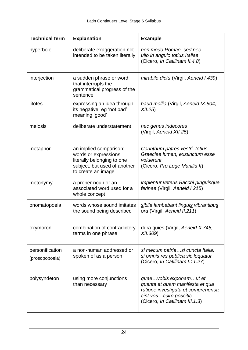| <b>Technical term</b>             | <b>Explanation</b>                                                                                                                 | <b>Example</b>                                                                                                                                              |
|-----------------------------------|------------------------------------------------------------------------------------------------------------------------------------|-------------------------------------------------------------------------------------------------------------------------------------------------------------|
| hyperbole                         | deliberate exaggeration not<br>intended to be taken literally                                                                      | non modo Romae, sed nec<br>ullo in angulo totius Italiae<br>(Cicero, In Catilinam II.4.8)                                                                   |
| interjection                      | a sudden phrase or word<br>that interrupts the<br>grammatical progress of the<br>sentence                                          | mirabile dictu (Virgil, Aeneid I.439)                                                                                                                       |
| litotes                           | expressing an idea through<br>its negative, eg 'not bad'<br>meaning 'good'                                                         | haud mollia (Virgil, Aeneid IX.804,<br>XII.25                                                                                                               |
| meiosis                           | deliberate understatement                                                                                                          | nec genus indecores<br>(Virgil, Aeneid XII.25)                                                                                                              |
| metaphor                          | an implied comparison;<br>words or expressions<br>literally belonging to one<br>subject, but used of another<br>to create an image | Corinthum patres vestri, totius<br>Graeciae lumen, exstinctum esse<br>voluerunt<br>(Cicero, Pro Lege Manilia II)                                            |
| metonymy                          | a proper noun or an<br>associated word used for a<br>whole concept                                                                 | <i>implentur veteris Bacchi pinguisque</i><br>ferinae (Virgil, Aeneid I.215)                                                                                |
| onomatopoeia                      | words whose sound imitates<br>the sound being described                                                                            | sibila lambebant linguis vibrantibus<br>ora (Virgil, Aeneid II.211)                                                                                         |
| oxymoron                          | combination of contradictory<br>terms in one phrase                                                                                | dura quies (Virgil, Aeneid X.745,<br>XII.309)                                                                                                               |
| personification<br>(prosopopoeia) | a non-human addressed or<br>spoken of as a person                                                                                  | si mecum patriasi cuncta Italia,<br>si omnis res publica sic loquatur<br>(Cicero, In Catilinam I.11.27)                                                     |
| polysyndeton                      | using more conjunctions<br>than necessary                                                                                          | quaevobis exponamut et<br>quanta et quam manifesta et qua<br>ratione investigata et comprehensa<br>sint vosscire possitis<br>(Cicero, In Catilinam III.1.3) |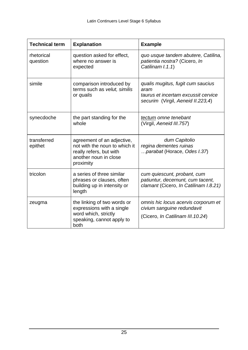| <b>Technical term</b>  | <b>Explanation</b>                                                                                                           | <b>Example</b>                                                                                                        |
|------------------------|------------------------------------------------------------------------------------------------------------------------------|-----------------------------------------------------------------------------------------------------------------------|
| rhetorical<br>question | question asked for effect,<br>where no answer is<br>expected                                                                 | quo usque tandem abutere, Catilina,<br>patientia nostra? (Cicero, In<br>Catilinam I.1.1)                              |
| simile                 | comparison introduced by<br>terms such as velut, similis<br>or qualis                                                        | qualis mugitus, fugit cum saucius<br>aram<br>taurus et incertam excussit cervice<br>securim (Virgil, Aeneid II.223,4) |
| synecdoche             | the part standing for the<br>whole                                                                                           | tectum omne tenebant<br>(Virgil, Aeneid III.757)                                                                      |
| transferred<br>epithet | agreement of an adjective,<br>not with the noun to which it<br>really refers, but with<br>another noun in close<br>proximity | dum Capitolio<br>regina dementes ruinas<br>parabat (Horace, Odes I.37)                                                |
| tricolon               | a series of three similar<br>phrases or clauses, often<br>building up in intensity or<br>length                              | cum quiescunt, probant, cum<br>patiuntur, decernunt, cum tacent,<br>clamant (Cicero, In Catilinam I.8.21)             |
| zeugma                 | the linking of two words or<br>expressions with a single<br>word which, strictly<br>speaking, cannot apply to<br>both        | omnis hic locus acervis corporum et<br>civium sanguine redundavit<br>(Cicero, In Catilinam III. 10.24)                |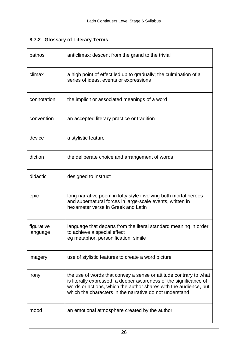#### **8.7.2 Glossary of Literary Terms**

| bathos                 | anticlimax: descent from the grand to the trivial                                                                                                                                                                                                                     |
|------------------------|-----------------------------------------------------------------------------------------------------------------------------------------------------------------------------------------------------------------------------------------------------------------------|
| climax                 | a high point of effect led up to gradually; the culmination of a<br>series of ideas, events or expressions                                                                                                                                                            |
| connotation            | the implicit or associated meanings of a word                                                                                                                                                                                                                         |
| convention             | an accepted literary practice or tradition                                                                                                                                                                                                                            |
| device                 | a stylistic feature                                                                                                                                                                                                                                                   |
| diction                | the deliberate choice and arrangement of words                                                                                                                                                                                                                        |
| didactic               | designed to instruct                                                                                                                                                                                                                                                  |
| epic                   | long narrative poem in lofty style involving both mortal heroes<br>and supernatural forces in large-scale events, written in<br>hexameter verse in Greek and Latin                                                                                                    |
| figurative<br>language | language that departs from the literal standard meaning in order<br>to achieve a special effect<br>eg metaphor, personification, simile                                                                                                                               |
| imagery                | use of stylistic features to create a word picture                                                                                                                                                                                                                    |
| irony                  | the use of words that convey a sense or attitude contrary to what<br>is literally expressed; a deeper awareness of the significance of<br>words or actions, which the author shares with the audience, but<br>which the characters in the narrative do not understand |
| mood                   | an emotional atmosphere created by the author                                                                                                                                                                                                                         |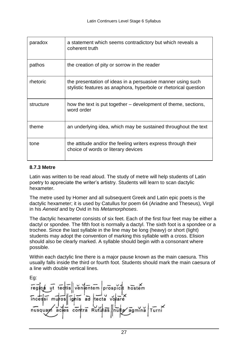| paradox   | a statement which seems contradictory but which reveals a<br>coherent truth                                                     |
|-----------|---------------------------------------------------------------------------------------------------------------------------------|
| pathos    | the creation of pity or sorrow in the reader                                                                                    |
| rhetoric  | the presentation of ideas in a persuasive manner using such<br>stylistic features as anaphora, hyperbole or rhetorical question |
| structure | how the text is put together – development of theme, sections,<br>word order                                                    |
| theme     | an underlying idea, which may be sustained throughout the text                                                                  |
| tone      | the attitude and/or the feeling writers express through their<br>choice of words or literary devices                            |

#### **8.7.3 Metre**

 Latin was written to be read aloud. The study of metre will help students of Latin poetry to appreciate the writer's artistry. Students will learn to scan dactylic hexameter.

 dactylic hexameter; it is used by Catullus for poem 64 (Ariadne and Theseus), Virgil The metre used by Homer and all subsequent Greek and Latin epic poets is the in his *Aeneid* and by Ovid in his *Metamorphoses*.

The dactylic hexameter consists of six feet. Each of the first four feet may be either a dactyl or spondee. The fifth foot is normally a dactyl. The sixth foot is a spondee or a trochee. Since the last syllable in the line may be long (heavy) or short (light) students may adopt the convention of marking this syllable with a cross. Elision should also be clearly marked. A syllable should begin with a consonant where possible.

Within each dactylic line there is a major pause known as the main caesura. This usually falls inside the third or fourth foot. Students should mark the main caesura of a line with double vertical lines.

Eg: venlentem prospicit hostem regina ut tedtis  $inters'$  muros ignis ad tecta volare contra Rutulas nulla agmina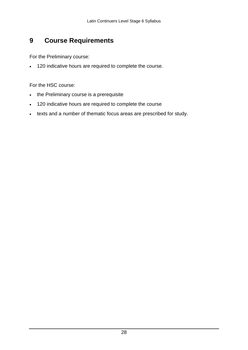#### <span id="page-27-0"></span>**9 Course Requirements**

For the Preliminary course:

120 indicative hours are required to complete the course.

For the HSC course:

- the Preliminary course is a prerequisite
- 120 indicative hours are required to complete the course
- texts and a number of thematic focus areas are prescribed for study.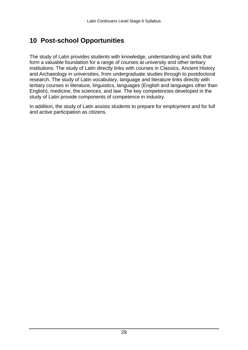# <span id="page-28-0"></span>**10 Post-school Opportunities**

 research. The study of Latin vocabulary, language and literature links directly with study of Latin provide components of competence in industry. The study of Latin provides students with knowledge, understanding and skills that form a valuable foundation for a range of courses at university and other tertiary institutions. The study of Latin directly links with courses in Classics, Ancient History and Archaeology in universities, from undergraduate studies through to postdoctoral tertiary courses in literature, linguistics, languages (English and languages other than English), medicine, the sciences, and law. The key competencies developed in the

 In addition, the study of Latin assists students to prepare for employment and for full and active participation as citizens.